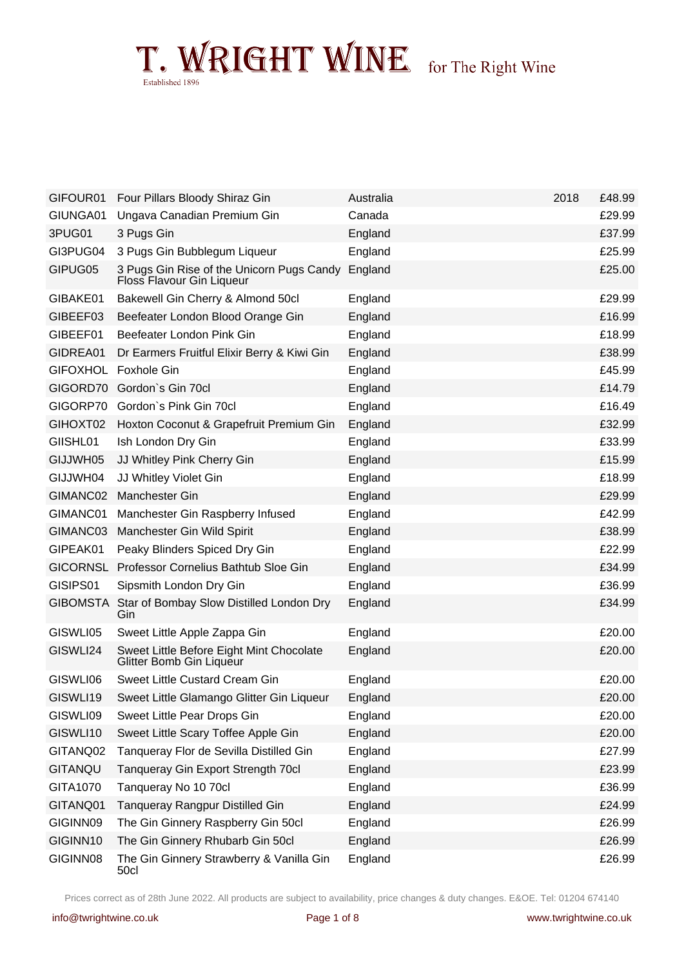| GIFOUR01        | Four Pillars Bloody Shiraz Gin                                         | Australia | 2018 | £48.99 |
|-----------------|------------------------------------------------------------------------|-----------|------|--------|
| GIUNGA01        | Ungava Canadian Premium Gin                                            | Canada    |      | £29.99 |
| 3PUG01          | 3 Pugs Gin                                                             | England   |      | £37.99 |
| GI3PUG04        | 3 Pugs Gin Bubblegum Liqueur                                           | England   |      | £25.99 |
| GIPUG05         | 3 Pugs Gin Rise of the Unicorn Pugs Candy<br>Floss Flavour Gin Liqueur | England   |      | £25.00 |
| GIBAKE01        | Bakewell Gin Cherry & Almond 50cl                                      | England   |      | £29.99 |
| GIBEEF03        | Beefeater London Blood Orange Gin                                      | England   |      | £16.99 |
| GIBEEF01        | Beefeater London Pink Gin                                              | England   |      | £18.99 |
| GIDREA01        | Dr Earmers Fruitful Elixir Berry & Kiwi Gin                            | England   |      | £38.99 |
| <b>GIFOXHOL</b> | <b>Foxhole Gin</b>                                                     | England   |      | £45.99 |
| GIGORD70        | Gordon's Gin 70cl                                                      | England   |      | £14.79 |
| GIGORP70        | Gordon's Pink Gin 70cl                                                 | England   |      | £16.49 |
| GIHOXT02        | Hoxton Coconut & Grapefruit Premium Gin                                | England   |      | £32.99 |
| GIISHL01        | Ish London Dry Gin                                                     | England   |      | £33.99 |
| GIJJWH05        | JJ Whitley Pink Cherry Gin                                             | England   |      | £15.99 |
| GIJJWH04        | JJ Whitley Violet Gin                                                  | England   |      | £18.99 |
| GIMANC02        | Manchester Gin                                                         | England   |      | £29.99 |
| GIMANC01        | Manchester Gin Raspberry Infused                                       | England   |      | £42.99 |
| GIMANC03        | Manchester Gin Wild Spirit                                             | England   |      | £38.99 |
| GIPEAK01        | Peaky Blinders Spiced Dry Gin                                          | England   |      | £22.99 |
| <b>GICORNSL</b> | Professor Cornelius Bathtub Sloe Gin                                   | England   |      | £34.99 |
| GISIPS01        | Sipsmith London Dry Gin                                                | England   |      | £36.99 |
| <b>GIBOMSTA</b> | Star of Bombay Slow Distilled London Dry<br>Gin                        | England   |      | £34.99 |
| GISWLI05        | Sweet Little Apple Zappa Gin                                           | England   |      | £20.00 |
| GISWLI24        | Sweet Little Before Eight Mint Chocolate<br>Glitter Bomb Gin Liqueur   | England   |      | £20.00 |
| GISWLI06        | Sweet Little Custard Cream Gin                                         | England   |      | £20.00 |
| GISWLI19        | Sweet Little Glamango Glitter Gin Liqueur                              | England   |      | £20.00 |
| GISWLI09        | Sweet Little Pear Drops Gin                                            | England   |      | £20.00 |
| GISWLI10        | Sweet Little Scary Toffee Apple Gin                                    | England   |      | £20.00 |
| GITANQ02        | Tanqueray Flor de Sevilla Distilled Gin                                | England   |      | £27.99 |
| GITANQU         | Tanqueray Gin Export Strength 70cl                                     | England   |      | £23.99 |
| GITA1070        | Tanqueray No 10 70cl                                                   | England   |      | £36.99 |
| GITANQ01        | Tanqueray Rangpur Distilled Gin                                        | England   |      | £24.99 |
| GIGINN09        | The Gin Ginnery Raspberry Gin 50cl                                     | England   |      | £26.99 |
| GIGINN10        | The Gin Ginnery Rhubarb Gin 50cl                                       | England   |      | £26.99 |
| GIGINN08        | The Gin Ginnery Strawberry & Vanilla Gin<br>50cl                       | England   |      | £26.99 |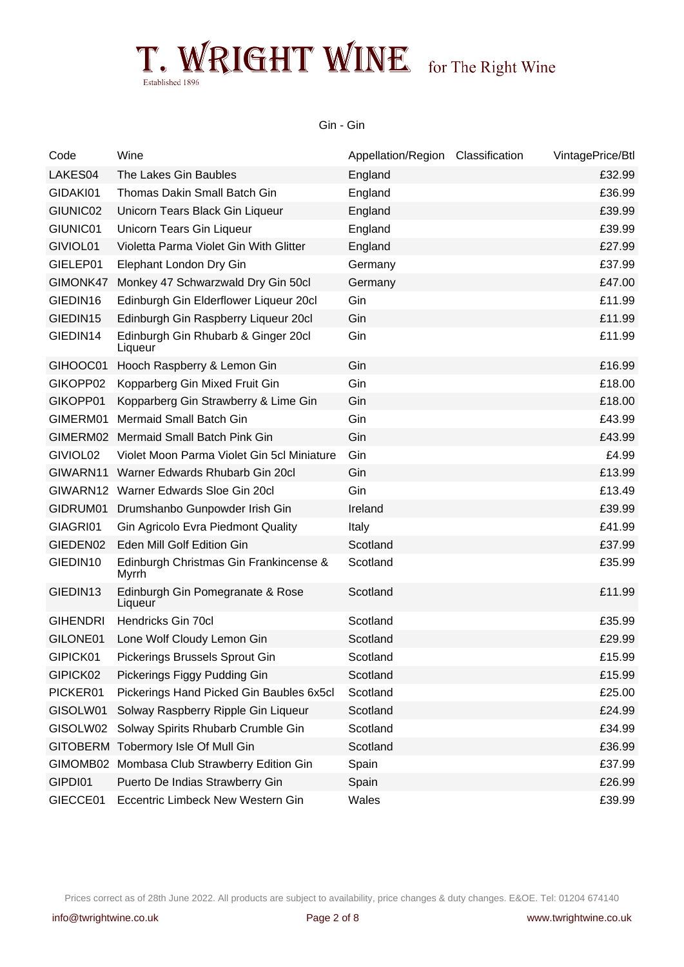Gin - Gin

| Code                 | Wine                                            | Appellation/Region Classification | VintagePrice/Btl |
|----------------------|-------------------------------------------------|-----------------------------------|------------------|
| LAKES04              | The Lakes Gin Baubles                           | England                           | £32.99           |
| GIDAKI01             | Thomas Dakin Small Batch Gin                    | England                           | £36.99           |
| GIUNIC02             | Unicorn Tears Black Gin Liqueur                 | England                           | £39.99           |
| GIUNIC01             | Unicorn Tears Gin Liqueur                       | England                           | £39.99           |
| GIVIOL01             | Violetta Parma Violet Gin With Glitter          | England                           | £27.99           |
| GIELEP01             | Elephant London Dry Gin                         | Germany                           | £37.99           |
| GIMONK47             | Monkey 47 Schwarzwald Dry Gin 50cl              | Germany                           | £47.00           |
| GIEDIN16             | Edinburgh Gin Elderflower Liqueur 20cl          | Gin                               | £11.99           |
| GIEDIN15             | Edinburgh Gin Raspberry Liqueur 20cl            | Gin                               | £11.99           |
| GIEDIN14             | Edinburgh Gin Rhubarb & Ginger 20cl<br>Liqueur  | Gin                               | £11.99           |
| GIHOOC01             | Hooch Raspberry & Lemon Gin                     | Gin                               | £16.99           |
| GIKOPP02             | Kopparberg Gin Mixed Fruit Gin                  | Gin                               | £18.00           |
| GIKOPP01             | Kopparberg Gin Strawberry & Lime Gin            | Gin                               | £18.00           |
| GIMERM01             | <b>Mermaid Small Batch Gin</b>                  | Gin                               | £43.99           |
| GIMERM02             | Mermaid Small Batch Pink Gin                    | Gin                               | £43.99           |
| GIVIOL02             | Violet Moon Parma Violet Gin 5cl Miniature      | Gin                               | £4.99            |
| GIWARN11             | Warner Edwards Rhubarb Gin 20cl                 | Gin                               | £13.99           |
| GIWARN12             | Warner Edwards Sloe Gin 20cl                    | Gin                               | £13.49           |
| GIDRUM01             | Drumshanbo Gunpowder Irish Gin                  | Ireland                           | £39.99           |
| GIAGRI01             | <b>Gin Agricolo Evra Piedmont Quality</b>       | Italy                             | £41.99           |
| GIEDEN02             | Eden Mill Golf Edition Gin                      | Scotland                          | £37.99           |
| GIEDIN10             | Edinburgh Christmas Gin Frankincense &<br>Myrrh | Scotland                          | £35.99           |
| GIEDIN <sub>13</sub> | Edinburgh Gin Pomegranate & Rose<br>Liqueur     | Scotland                          | £11.99           |
| <b>GIHENDRI</b>      | Hendricks Gin 70cl                              | Scotland                          | £35.99           |
| GILONE01             | Lone Wolf Cloudy Lemon Gin                      | Scotland                          | £29.99           |
| GIPICK01             | Pickerings Brussels Sprout Gin                  | Scotland                          | £15.99           |
| GIPICK02             | Pickerings Figgy Pudding Gin                    | Scotland                          | £15.99           |
| PICKER01             | Pickerings Hand Picked Gin Baubles 6x5cl        | Scotland                          | £25.00           |
| GISOLW01             | Solway Raspberry Ripple Gin Liqueur             | Scotland                          | £24.99           |
| GISOLW02             | Solway Spirits Rhubarb Crumble Gin              | Scotland                          | £34.99           |
| <b>GITOBERM</b>      | Tobermory Isle Of Mull Gin                      | Scotland                          | £36.99           |
| GIMOMB02             | Mombasa Club Strawberry Edition Gin             | Spain                             | £37.99           |
| GIPDI01              | Puerto De Indias Strawberry Gin                 | Spain                             | £26.99           |
| GIECCE01             | Eccentric Limbeck New Western Gin               | Wales                             | £39.99           |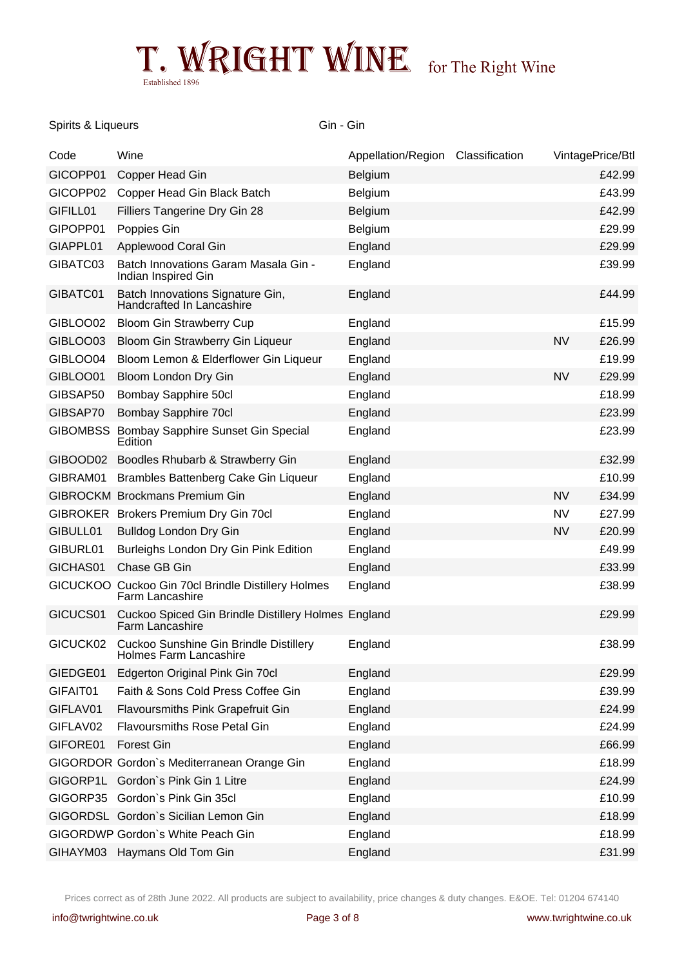### Spirits & Liqueurs Gin - Gin - Gin - Gin - Gin - Gin - Gin - Gin - Gin - Gin - Gin - Gin - Gin - Gin - Gin - Gin - Gin - Gin - Gin - Gin - Gin - Gin - Gin - Gin - Gin - Gin - Gin - Gin - Gin - Gin - Gin - Gin - Gin - Gin -

| Code            | Wine                                                                          | Appellation/Region Classification | VintagePrice/Btl |        |
|-----------------|-------------------------------------------------------------------------------|-----------------------------------|------------------|--------|
| GICOPP01        | Copper Head Gin                                                               | Belgium                           |                  | £42.99 |
| GICOPP02        | Copper Head Gin Black Batch                                                   | Belgium                           |                  | £43.99 |
| GIFILL01        | Filliers Tangerine Dry Gin 28                                                 | <b>Belgium</b>                    |                  | £42.99 |
| GIPOPP01        | Poppies Gin                                                                   | Belgium                           |                  | £29.99 |
| GIAPPL01        | Applewood Coral Gin                                                           | England                           |                  | £29.99 |
| GIBATC03        | Batch Innovations Garam Masala Gin -<br>Indian Inspired Gin                   | England                           |                  | £39.99 |
| GIBATC01        | Batch Innovations Signature Gin,<br>Handcrafted In Lancashire                 | England                           |                  | £44.99 |
| GIBLOO02        | Bloom Gin Strawberry Cup                                                      | England                           |                  | £15.99 |
| GIBLOO03        | Bloom Gin Strawberry Gin Liqueur                                              | England                           | <b>NV</b>        | £26.99 |
| GIBLOO04        | Bloom Lemon & Elderflower Gin Liqueur                                         | England                           |                  | £19.99 |
| GIBLOO01        | Bloom London Dry Gin                                                          | England                           | <b>NV</b>        | £29.99 |
| GIBSAP50        | Bombay Sapphire 50cl                                                          | England                           |                  | £18.99 |
| GIBSAP70        | <b>Bombay Sapphire 70cl</b>                                                   | England                           |                  | £23.99 |
| <b>GIBOMBSS</b> | Bombay Sapphire Sunset Gin Special<br>Edition                                 | England                           |                  | £23.99 |
| GIBOOD02        | Boodles Rhubarb & Strawberry Gin                                              | England                           |                  | £32.99 |
| GIBRAM01        | Brambles Battenberg Cake Gin Liqueur                                          | England                           |                  | £10.99 |
| <b>GIBROCKM</b> | <b>Brockmans Premium Gin</b>                                                  | England                           | <b>NV</b>        | £34.99 |
| <b>GIBROKER</b> | Brokers Premium Dry Gin 70cl                                                  | England                           | <b>NV</b>        | £27.99 |
| GIBULL01        | Bulldog London Dry Gin                                                        | England                           | <b>NV</b>        | £20.99 |
| GIBURL01        | Burleighs London Dry Gin Pink Edition                                         | England                           |                  | £49.99 |
| GICHAS01        | Chase GB Gin                                                                  | England                           |                  | £33.99 |
|                 | GICUCKOO Cuckoo Gin 70cl Brindle Distillery Holmes<br><b>Farm Lancashire</b>  | England                           |                  | £38.99 |
| GICUCS01        | Cuckoo Spiced Gin Brindle Distillery Holmes England<br><b>Farm Lancashire</b> |                                   |                  | £29.99 |
| GICUCK02        | <b>Cuckoo Sunshine Gin Brindle Distillery</b><br>Holmes Farm Lancashire       | England                           |                  | £38.99 |
| GIEDGE01        | Edgerton Original Pink Gin 70cl                                               | England                           |                  | £29.99 |
| GIFAIT01        | Faith & Sons Cold Press Coffee Gin                                            | England                           |                  | £39.99 |
| GIFLAV01        | Flavoursmiths Pink Grapefruit Gin                                             | England                           |                  | £24.99 |
| GIFLAV02        | <b>Flavoursmiths Rose Petal Gin</b>                                           | England                           |                  | £24.99 |
| GIFORE01        | <b>Forest Gin</b>                                                             | England                           |                  | £66.99 |
|                 | GIGORDOR Gordon's Mediterranean Orange Gin                                    | England                           |                  | £18.99 |
| GIGORP1L        | Gordon's Pink Gin 1 Litre                                                     | England                           |                  | £24.99 |
| GIGORP35        | Gordon's Pink Gin 35cl                                                        | England                           |                  | £10.99 |
|                 | GIGORDSL Gordon's Sicilian Lemon Gin                                          | England                           |                  | £18.99 |
|                 | GIGORDWP Gordon's White Peach Gin                                             | England                           |                  | £18.99 |
| GIHAYM03        | Haymans Old Tom Gin                                                           | England                           |                  | £31.99 |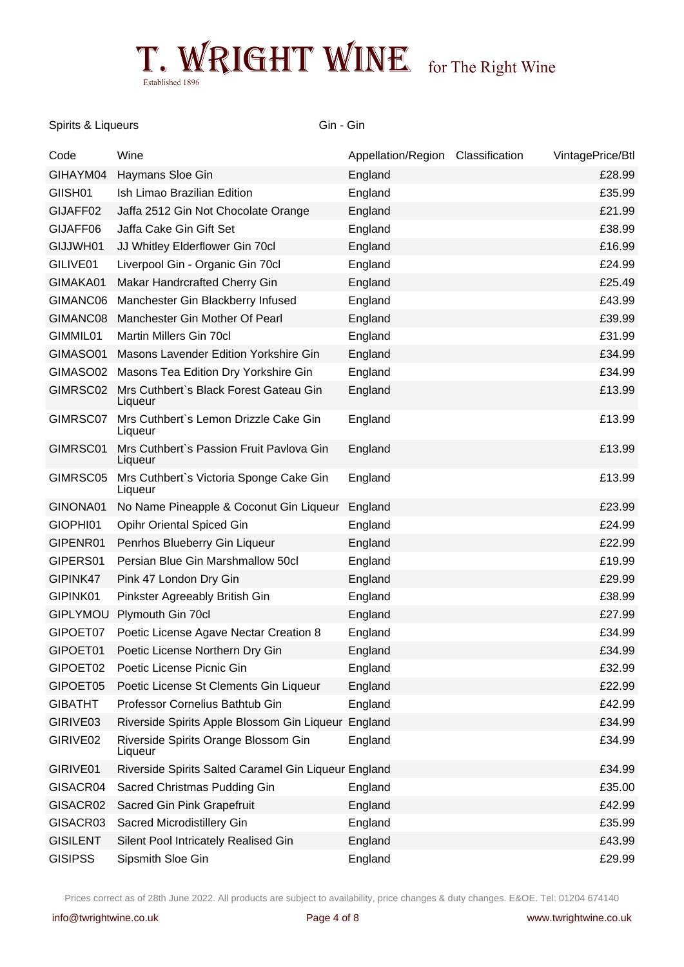#### Spirits & Liqueurs Gin - Gin - Gin - Gin - Gin - Gin - Gin - Gin - Gin - Gin - Gin - Gin - Gin - Gin - Gin - Gin - Gin - Gin - Gin - Gin - Gin - Gin - Gin - Gin - Gin - Gin - Gin - Gin - Gin - Gin - Gin - Gin - Gin - Gin -

| Code                | Wine                                                 | Appellation/Region Classification | VintagePrice/Btl |
|---------------------|------------------------------------------------------|-----------------------------------|------------------|
| GIHAYM04            | Haymans Sloe Gin                                     | England                           | £28.99           |
| GIISH <sub>01</sub> | Ish Limao Brazilian Edition                          | England                           | £35.99           |
| GIJAFF02            | Jaffa 2512 Gin Not Chocolate Orange                  | England                           | £21.99           |
| GIJAFF06            | Jaffa Cake Gin Gift Set                              | England                           | £38.99           |
| GIJJWH01            | JJ Whitley Elderflower Gin 70cl                      | England                           | £16.99           |
| GILIVE01            | Liverpool Gin - Organic Gin 70cl                     | England                           | £24.99           |
| GIMAKA01            | Makar Handrcrafted Cherry Gin                        | England                           | £25.49           |
| GIMANC06            | Manchester Gin Blackberry Infused                    | England                           | £43.99           |
| GIMANC08            | Manchester Gin Mother Of Pearl                       | England                           | £39.99           |
| GIMMIL01            | Martin Millers Gin 70cl                              | England                           | £31.99           |
| GIMASO01            | Masons Lavender Edition Yorkshire Gin                | England                           | £34.99           |
| GIMASO02            | Masons Tea Edition Dry Yorkshire Gin                 | England                           | £34.99           |
| GIMRSC02            | Mrs Cuthbert's Black Forest Gateau Gin<br>Liqueur    | England                           | £13.99           |
| GIMRSC07            | Mrs Cuthbert's Lemon Drizzle Cake Gin<br>Liqueur     | England                           | £13.99           |
| GIMRSC01            | Mrs Cuthbert's Passion Fruit Pavlova Gin<br>Liqueur  | England                           | £13.99           |
| GIMRSC05            | Mrs Cuthbert's Victoria Sponge Cake Gin<br>Liqueur   | England                           | £13.99           |
| GINONA01            | No Name Pineapple & Coconut Gin Liqueur              | England                           | £23.99           |
| GIOPHI01            | Opihr Oriental Spiced Gin                            | England                           | £24.99           |
| GIPENR01            | Penrhos Blueberry Gin Liqueur                        | England                           | £22.99           |
| GIPERS01            | Persian Blue Gin Marshmallow 50cl                    | England                           | £19.99           |
| GIPINK47            | Pink 47 London Dry Gin                               | England                           | £29.99           |
| GIPINK01            | Pinkster Agreeably British Gin                       | England                           | £38.99           |
| <b>GIPLYMOU</b>     | Plymouth Gin 70cl                                    | England                           | £27.99           |
| GIPOET07            | Poetic License Agave Nectar Creation 8               | England                           | £34.99           |
| GIPOET01            | Poetic License Northern Dry Gin                      | England                           | £34.99           |
| GIPOET02            | Poetic License Picnic Gin                            | England                           | £32.99           |
| GIPOET05            | Poetic License St Clements Gin Liqueur               | England                           | £22.99           |
| <b>GIBATHT</b>      | Professor Cornelius Bathtub Gin                      | England                           | £42.99           |
| GIRIVE03            | Riverside Spirits Apple Blossom Gin Liqueur England  |                                   | £34.99           |
| GIRIVE02            | Riverside Spirits Orange Blossom Gin<br>Liqueur      | England                           | £34.99           |
| GIRIVE01            | Riverside Spirits Salted Caramel Gin Liqueur England |                                   | £34.99           |
| GISACR04            | Sacred Christmas Pudding Gin                         | England                           | £35.00           |
| GISACR02            | Sacred Gin Pink Grapefruit                           | England                           | £42.99           |
| GISACR03            | Sacred Microdistillery Gin                           | England                           | £35.99           |
| <b>GISILENT</b>     | Silent Pool Intricately Realised Gin                 | England                           | £43.99           |
| <b>GISIPSS</b>      | Sipsmith Sloe Gin                                    | England                           | £29.99           |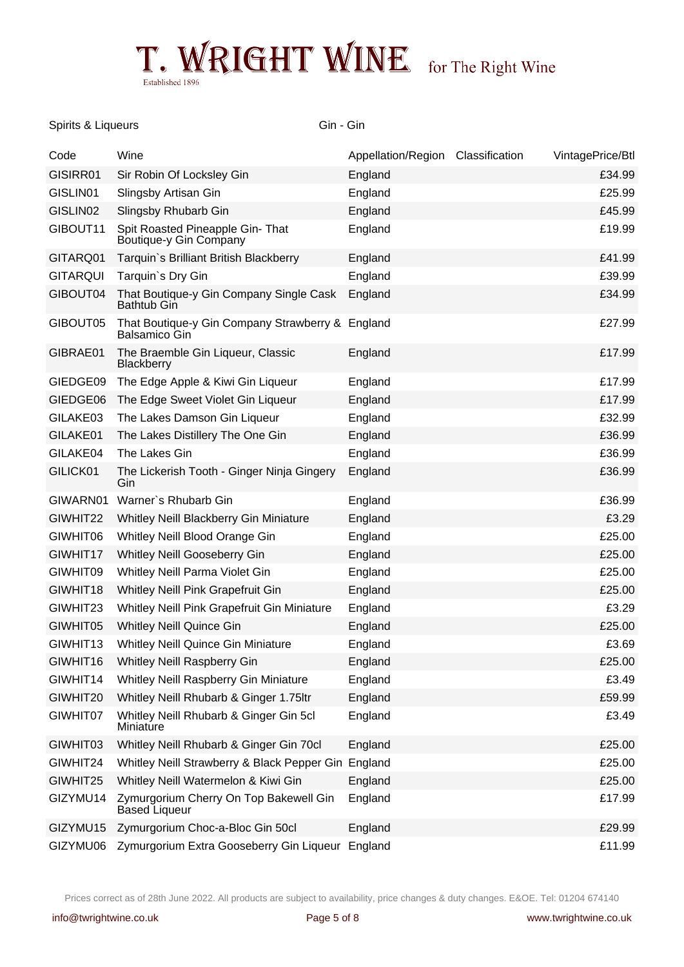### Spirits & Liqueurs Gin - Gin - Gin - Gin - Gin - Gin - Gin - Gin - Gin - Gin - Gin - Gin - Gin - Gin - Gin - Gin - Gin - Gin - Gin - Gin - Gin - Gin - Gin - Gin - Gin - Gin - Gin - Gin - Gin - Gin - Gin - Gin - Gin - Gin -

| Code                 | Wine                                                                     | Appellation/Region Classification | VintagePrice/Btl |
|----------------------|--------------------------------------------------------------------------|-----------------------------------|------------------|
| GISIRR01             | Sir Robin Of Locksley Gin                                                | England                           | £34.99           |
| GISLIN01             | Slingsby Artisan Gin                                                     | England                           | £25.99           |
| GISLIN02             | Slingsby Rhubarb Gin                                                     | England                           | £45.99           |
| GIBOUT11             | Spit Roasted Pineapple Gin- That<br>Boutique-y Gin Company               | England                           | £19.99           |
| GITARQ01             | Tarquin's Brilliant British Blackberry                                   | England                           | £41.99           |
| <b>GITARQUI</b>      | Tarquin's Dry Gin                                                        | England                           | £39.99           |
| GIBOUT04             | That Boutique-y Gin Company Single Cask<br><b>Bathtub Gin</b>            | England                           | £34.99           |
| GIBOUT05             | That Boutique-y Gin Company Strawberry & England<br><b>Balsamico Gin</b> |                                   | £27.99           |
| GIBRAE01             | The Braemble Gin Liqueur, Classic<br>Blackberry                          | England                           | £17.99           |
| GIEDGE09             | The Edge Apple & Kiwi Gin Liqueur                                        | England                           | £17.99           |
| GIEDGE06             | The Edge Sweet Violet Gin Liqueur                                        | England                           | £17.99           |
| GILAKE03             | The Lakes Damson Gin Liqueur                                             | England                           | £32.99           |
| GILAKE01             | The Lakes Distillery The One Gin                                         | England                           | £36.99           |
| GILAKE04             | The Lakes Gin                                                            | England                           | £36.99           |
| GILICK01             | The Lickerish Tooth - Ginger Ninja Gingery<br>Gin                        | England                           | £36.99           |
| GIWARN01             | Warner's Rhubarb Gin                                                     | England                           | £36.99           |
| GIWHIT22             | Whitley Neill Blackberry Gin Miniature                                   | England                           | £3.29            |
| GIWHIT06             | Whitley Neill Blood Orange Gin                                           | England                           | £25.00           |
| GIWHIT17             | Whitley Neill Gooseberry Gin                                             | England                           | £25.00           |
| GIWHIT09             | Whitley Neill Parma Violet Gin                                           | England                           | £25.00           |
| GIWHIT18             | Whitley Neill Pink Grapefruit Gin                                        | England                           | £25.00           |
| GIWHIT23             | Whitley Neill Pink Grapefruit Gin Miniature                              | England                           | £3.29            |
| GIWHIT05             | <b>Whitley Neill Quince Gin</b>                                          | England                           | £25.00           |
| GIWHIT <sub>13</sub> | Whitley Neill Quince Gin Miniature                                       | England                           | £3.69            |
| GIWHIT16             | Whitley Neill Raspberry Gin                                              | England                           | £25.00           |
| GIWHIT14             | Whitley Neill Raspberry Gin Miniature                                    | England                           | £3.49            |
| GIWHIT20             | Whitley Neill Rhubarb & Ginger 1.75ltr                                   | England                           | £59.99           |
| GIWHIT07             | Whitley Neill Rhubarb & Ginger Gin 5cl<br>Miniature                      | England                           | £3.49            |
| GIWHIT03             | Whitley Neill Rhubarb & Ginger Gin 70cl                                  | England                           | £25.00           |
| GIWHIT24             | Whitley Neill Strawberry & Black Pepper Gin England                      |                                   | £25.00           |
| GIWHIT25             | Whitley Neill Watermelon & Kiwi Gin                                      | England                           | £25.00           |
| GIZYMU14             | Zymurgorium Cherry On Top Bakewell Gin<br>Based Liqueur                  | England                           | £17.99           |
| GIZYMU15             | Zymurgorium Choc-a-Bloc Gin 50cl                                         | England                           | £29.99           |
| GIZYMU06             | Zymurgorium Extra Gooseberry Gin Liqueur                                 | England                           | £11.99           |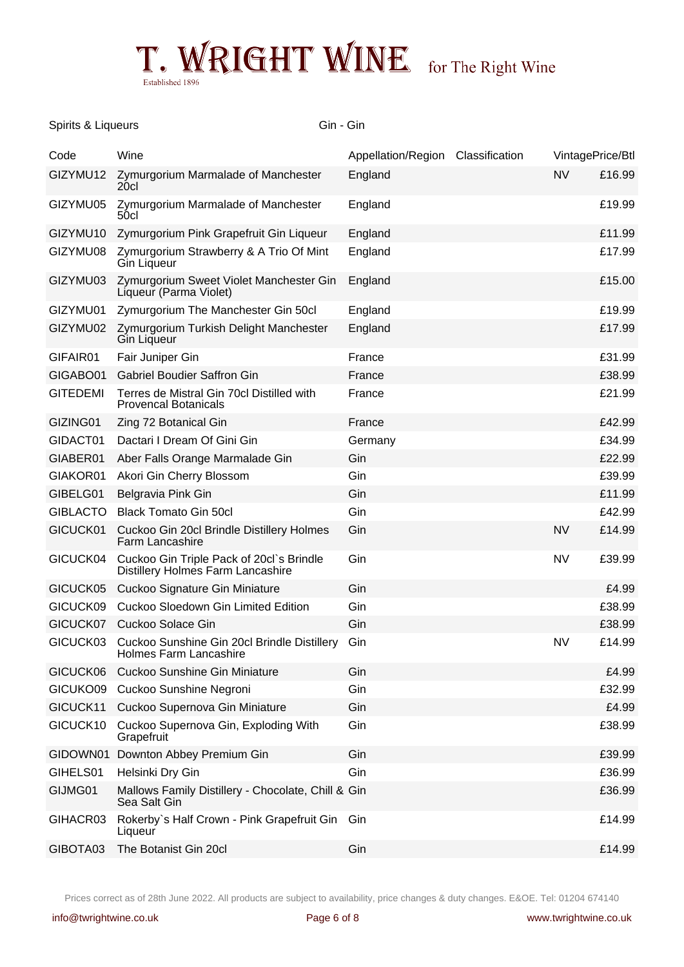

### Spirits & Liqueurs Gin - Gin - Gin - Gin - Gin - Gin - Gin - Gin - Gin - Gin - Gin - Gin - Gin - Gin - Gin - Gin - Gin - Gin - Gin - Gin - Gin - Gin - Gin - Gin - Gin - Gin - Gin - Gin - Gin - Gin - Gin - Gin - Gin - Gin -

| Code            | Wine                                                                                 | Appellation/Region Classification | VintagePrice/Btl |        |
|-----------------|--------------------------------------------------------------------------------------|-----------------------------------|------------------|--------|
| GIZYMU12        | Zymurgorium Marmalade of Manchester<br>20 <sub>cl</sub>                              | England                           | <b>NV</b>        | £16.99 |
| GIZYMU05        | Zymurgorium Marmalade of Manchester<br>50cl                                          | England                           |                  | £19.99 |
| GIZYMU10        | Zymurgorium Pink Grapefruit Gin Liqueur                                              | England                           |                  | £11.99 |
| GIZYMU08        | Zymurgorium Strawberry & A Trio Of Mint<br>Gin Liqueur                               | England                           |                  | £17.99 |
| GIZYMU03        | Zymurgorium Sweet Violet Manchester Gin<br>Líqueur (Parma Violet)                    | England                           |                  | £15.00 |
| GIZYMU01        | Zymurgorium The Manchester Gin 50cl                                                  | England                           |                  | £19.99 |
| GIZYMU02        | Zymurgorium Turkish Delight Manchester<br><b>Gin Liqueur</b>                         | England                           |                  | £17.99 |
| GIFAIR01        | Fair Juniper Gin                                                                     | France                            |                  | £31.99 |
| GIGABO01        | <b>Gabriel Boudier Saffron Gin</b>                                                   | France                            |                  | £38.99 |
| <b>GITEDEMI</b> | Terres de Mistral Gin 70cl Distilled with<br><b>Provencal Botanicals</b>             | France                            |                  | £21.99 |
| GIZING01        | Zing 72 Botanical Gin                                                                | France                            |                  | £42.99 |
| GIDACT01        | Dactari I Dream Of Gini Gin                                                          | Germany                           |                  | £34.99 |
| GIABER01        | Aber Falls Orange Marmalade Gin                                                      | Gin                               |                  | £22.99 |
| GIAKOR01        | Akori Gin Cherry Blossom                                                             | Gin                               |                  | £39.99 |
| GIBELG01        | Belgravia Pink Gin                                                                   | Gin                               |                  | £11.99 |
| <b>GIBLACTO</b> | <b>Black Tomato Gin 50cl</b>                                                         | Gin                               |                  | £42.99 |
| GICUCK01        | Cuckoo Gin 20cl Brindle Distillery Holmes<br>Farm Lancashire                         | Gin                               | <b>NV</b>        | £14.99 |
| GICUCK04        | Cuckoo Gin Triple Pack of 20cl`s Brindle<br><b>Distillery Holmes Farm Lancashire</b> | Gin                               | <b>NV</b>        | £39.99 |
| GICUCK05        | Cuckoo Signature Gin Miniature                                                       | Gin                               |                  | £4.99  |
| GICUCK09        | Cuckoo Sloedown Gin Limited Edition                                                  | Gin                               |                  | £38.99 |
| GICUCK07        | Cuckoo Solace Gin                                                                    | Gin                               |                  | £38.99 |
| GICUCK03        | Cuckoo Sunshine Gin 20cl Brindle Distillery<br><b>Holmes Farm Lancashire</b>         | Gin                               | <b>NV</b>        | £14.99 |
| GICUCK06        | <b>Cuckoo Sunshine Gin Miniature</b>                                                 | Gin                               |                  | £4.99  |
| GICUKO09        | Cuckoo Sunshine Negroni                                                              | Gin                               |                  | £32.99 |
| GICUCK11        | Cuckoo Supernova Gin Miniature                                                       | Gin                               |                  | £4.99  |
| GICUCK10        | Cuckoo Supernova Gin, Exploding With<br>Grapefruit                                   | Gin                               |                  | £38.99 |
| GIDOWN01        | Downton Abbey Premium Gin                                                            | Gin                               |                  | £39.99 |
| GIHELS01        | Helsinki Dry Gin                                                                     | Gin                               |                  | £36.99 |
| GIJMG01         | Mallows Family Distillery - Chocolate, Chill & Gin<br>Sea Salt Gin                   |                                   |                  | £36.99 |
| GIHACR03        | Rokerby's Half Crown - Pink Grapefruit Gin<br>Liqueur                                | Gin                               |                  | £14.99 |
| GIBOTA03        | The Botanist Gin 20cl                                                                | Gin                               |                  | £14.99 |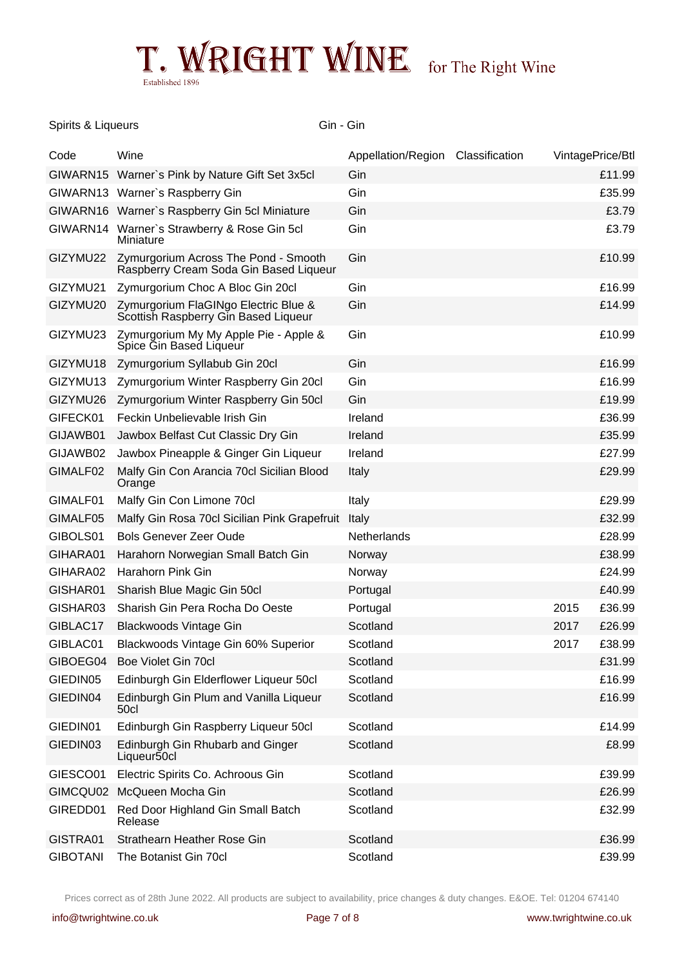### Spirits & Liqueurs Gin - Gin - Gin - Gin - Gin - Gin - Gin - Gin - Gin - Gin - Gin - Gin - Gin - Gin - Gin - Gin - Gin - Gin - Gin - Gin - Gin - Gin - Gin - Gin - Gin - Gin - Gin - Gin - Gin - Gin - Gin - Gin - Gin - Gin -

| Code            | Wine                                                                           | Appellation/Region Classification | VintagePrice/Btl |        |
|-----------------|--------------------------------------------------------------------------------|-----------------------------------|------------------|--------|
|                 | GIWARN15 Warner's Pink by Nature Gift Set 3x5cl                                | Gin                               |                  | £11.99 |
|                 | GIWARN13 Warner's Raspberry Gin                                                | Gin                               |                  | £35.99 |
|                 | GIWARN16 Warner's Raspberry Gin 5cl Miniature                                  | Gin                               |                  | £3.79  |
| GIWARN14        | Warner's Strawberry & Rose Gin 5cl<br>Miniature                                | Gin                               |                  | £3.79  |
| GIZYMU22        | Zymurgorium Across The Pond - Smooth<br>Raspberry Cream Soda Gin Based Liqueur | Gin                               |                  | £10.99 |
| GIZYMU21        | Zymurgorium Choc A Bloc Gin 20cl                                               | Gin                               |                  | £16.99 |
| GIZYMU20        | Zymurgorium FlaGINgo Electric Blue &<br>Scottish Raspberry Gin Based Liqueur   | Gin                               |                  | £14.99 |
| GIZYMU23        | Zymurgorium My My Apple Pie - Apple &<br>Spice Gin Based Liqueur               | Gin                               |                  | £10.99 |
| GIZYMU18        | Zymurgorium Syllabub Gin 20cl                                                  | Gin                               |                  | £16.99 |
| GIZYMU13        | Zymurgorium Winter Raspberry Gin 20cl                                          | Gin                               |                  | £16.99 |
| GIZYMU26        | Zymurgorium Winter Raspberry Gin 50cl                                          | Gin                               |                  | £19.99 |
| GIFECK01        | Feckin Unbelievable Irish Gin                                                  | Ireland                           |                  | £36.99 |
| GIJAWB01        | Jawbox Belfast Cut Classic Dry Gin                                             | Ireland                           |                  | £35.99 |
| GIJAWB02        | Jawbox Pineapple & Ginger Gin Liqueur                                          | Ireland                           |                  | £27.99 |
| GIMALF02        | Malfy Gin Con Arancia 70cl Sicilian Blood<br>Orange                            | Italy                             |                  | £29.99 |
| GIMALF01        | Malfy Gin Con Limone 70cl                                                      | Italy                             |                  | £29.99 |
| GIMALF05        | Malfy Gin Rosa 70cl Sicilian Pink Grapefruit                                   | Italy                             |                  | £32.99 |
| GIBOLS01        | <b>Bols Genever Zeer Oude</b>                                                  | Netherlands                       |                  | £28.99 |
| GIHARA01        | Harahorn Norwegian Small Batch Gin                                             | Norway                            |                  | £38.99 |
| GIHARA02        | Harahorn Pink Gin                                                              | Norway                            |                  | £24.99 |
| GISHAR01        | Sharish Blue Magic Gin 50cl                                                    | Portugal                          |                  | £40.99 |
| GISHAR03        | Sharish Gin Pera Rocha Do Oeste                                                | Portugal                          | 2015             | £36.99 |
| GIBLAC17        | <b>Blackwoods Vintage Gin</b>                                                  | Scotland                          | 2017             | £26.99 |
| GIBLAC01        | Blackwoods Vintage Gin 60% Superior                                            | Scotland                          | 2017             | £38.99 |
| GIBOEG04        | Boe Violet Gin 70cl                                                            | Scotland                          |                  | £31.99 |
| GIEDIN05        | Edinburgh Gin Elderflower Liqueur 50cl                                         | Scotland                          |                  | £16.99 |
| GIEDIN04        | Edinburgh Gin Plum and Vanilla Liqueur<br>50cl                                 | Scotland                          |                  | £16.99 |
| GIEDIN01        | Edinburgh Gin Raspberry Liqueur 50cl                                           | Scotland                          |                  | £14.99 |
| GIEDIN03        | Edinburgh Gin Rhubarb and Ginger<br>Liqueur50cl                                | Scotland                          |                  | £8.99  |
| GIESCO01        | Electric Spirits Co. Achroous Gin                                              | Scotland                          |                  | £39.99 |
| GIMCQU02        | McQueen Mocha Gin                                                              | Scotland                          |                  | £26.99 |
| GIREDD01        | Red Door Highland Gin Small Batch<br>Release                                   | Scotland                          |                  | £32.99 |
| GISTRA01        | Strathearn Heather Rose Gin                                                    | Scotland                          |                  | £36.99 |
| <b>GIBOTANI</b> | The Botanist Gin 70cl                                                          | Scotland                          |                  | £39.99 |